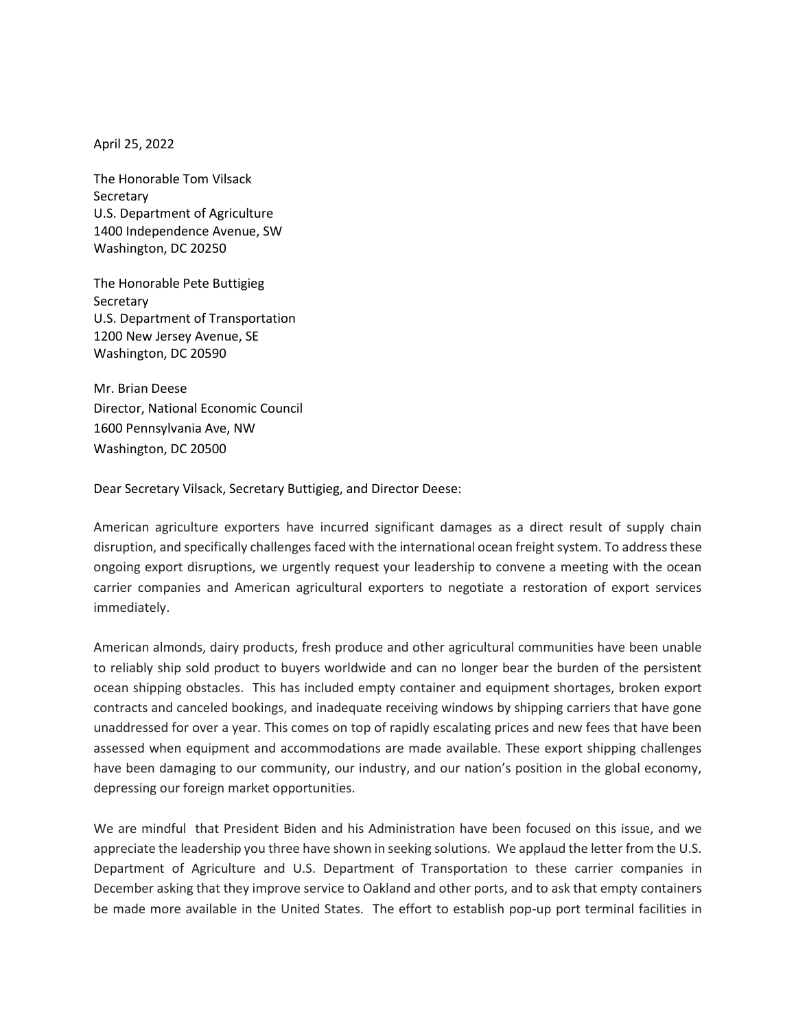April 25, 2022

The Honorable Tom Vilsack **Secretary** U.S. Department of Agriculture 1400 Independence Avenue, SW Washington, DC 20250

The Honorable Pete Buttigieg **Secretary** U.S. Department of Transportation 1200 New Jersey Avenue, SE Washington, DC 20590

Mr. Brian Deese Director, National Economic Council 1600 Pennsylvania Ave, NW Washington, DC 20500

Dear Secretary Vilsack, Secretary Buttigieg, and Director Deese:

American agriculture exporters have incurred significant damages as a direct result of supply chain disruption, and specifically challenges faced with the international ocean freight system. To address these ongoing export disruptions, we urgently request your leadership to convene a meeting with the ocean carrier companies and American agricultural exporters to negotiate a restoration of export services immediately.

American almonds, dairy products, fresh produce and other agricultural communities have been unable to reliably ship sold product to buyers worldwide and can no longer bear the burden of the persistent ocean shipping obstacles. This has included empty container and equipment shortages, broken export contracts and canceled bookings, and inadequate receiving windows by shipping carriers that have gone unaddressed for over a year. This comes on top of rapidly escalating prices and new fees that have been assessed when equipment and accommodations are made available. These export shipping challenges have been damaging to our community, our industry, and our nation's position in the global economy, depressing our foreign market opportunities.

We are mindful that President Biden and his Administration have been focused on this issue, and we appreciate the leadership you three have shown in seeking solutions. We applaud the letter from the U.S. Department of Agriculture and U.S. Department of Transportation to these carrier companies in December asking that they improve service to Oakland and other ports, and to ask that empty containers be made more available in the United States. The effort to establish pop-up port terminal facilities in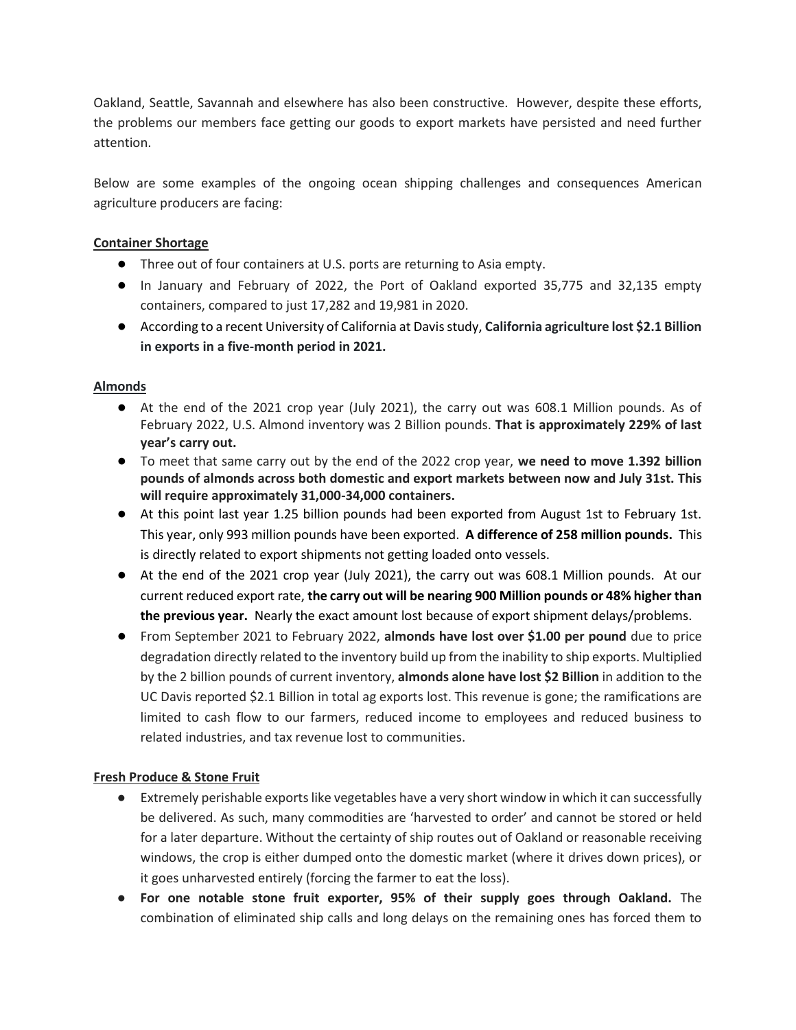Oakland, Seattle, Savannah and elsewhere has also been constructive. However, despite these efforts, the problems our members face getting our goods to export markets have persisted and need further attention.

Below are some examples of the ongoing ocean shipping challenges and consequences American agriculture producers are facing:

# **Container Shortage**

- Three out of four containers at U.S. ports are returning to Asia empty.
- In January and February of 2022, the Port of Oakland exported 35,775 and 32,135 empty containers, compared to just 17,282 and 19,981 in 2020.
- According to a recent University of California at Davis study, **California agriculture lost \$2.1 Billion in exports in a five-month period in 2021.**

## **Almonds**

- At the end of the 2021 crop year (July 2021), the carry out was 608.1 Million pounds. As of February 2022, U.S. Almond inventory was 2 Billion pounds. **That is approximately 229% of last year's carry out.**
- To meet that same carry out by the end of the 2022 crop year, **we need to move 1.392 billion pounds of almonds across both domestic and export markets between now and July 31st. This will require approximately 31,000-34,000 containers.**
- At this point last year 1.25 billion pounds had been exported from August 1st to February 1st. This year, only 993 million pounds have been exported. **A difference of 258 million pounds.** This is directly related to export shipments not getting loaded onto vessels.
- At the end of the 2021 crop year (July 2021), the carry out was 608.1 Million pounds. At our current reduced export rate, **the carry out will be nearing 900 Million pounds or 48% higher than the previous year.** Nearly the exact amount lost because of export shipment delays/problems.
- From September 2021 to February 2022, **almonds have lost over \$1.00 per pound** due to price degradation directly related to the inventory build up from the inability to ship exports. Multiplied by the 2 billion pounds of current inventory, **almonds alone have lost \$2 Billion** in addition to the UC Davis reported \$2.1 Billion in total ag exports lost. This revenue is gone; the ramifications are limited to cash flow to our farmers, reduced income to employees and reduced business to related industries, and tax revenue lost to communities.

### **Fresh Produce & Stone Fruit**

- Extremely perishable exports like vegetables have a very short window in which it can successfully be delivered. As such, many commodities are 'harvested to order' and cannot be stored or held for a later departure. Without the certainty of ship routes out of Oakland or reasonable receiving windows, the crop is either dumped onto the domestic market (where it drives down prices), or it goes unharvested entirely (forcing the farmer to eat the loss).
- **For one notable stone fruit exporter, 95% of their supply goes through Oakland.** The combination of eliminated ship calls and long delays on the remaining ones has forced them to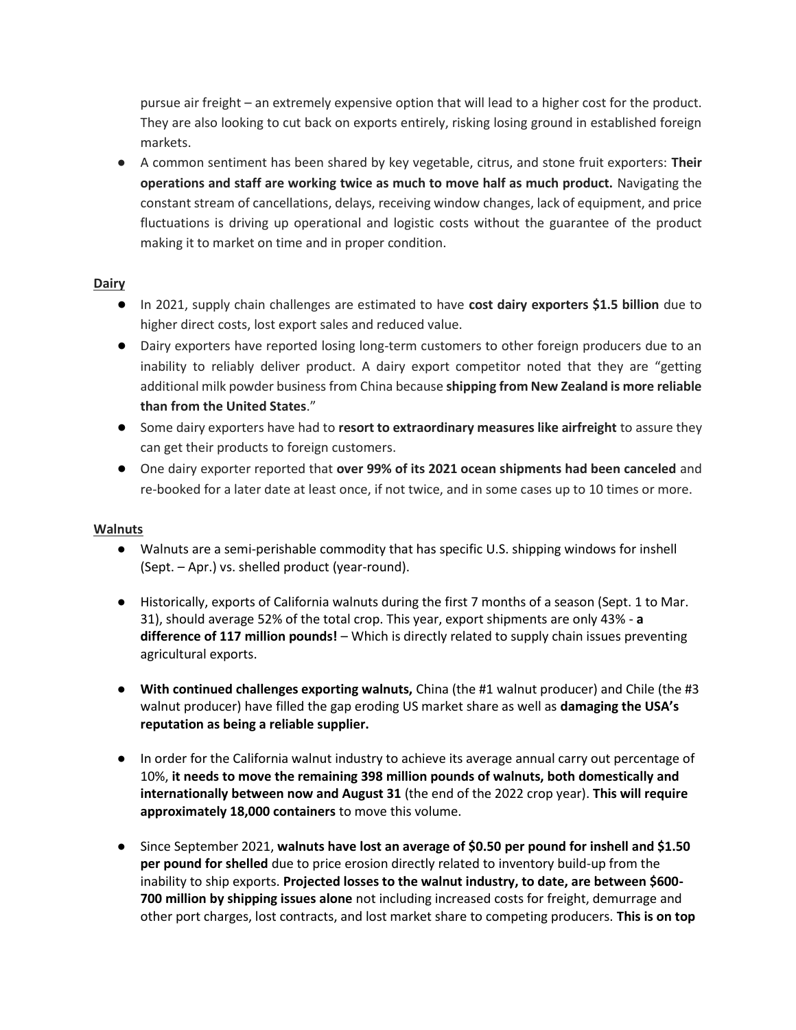pursue air freight – an extremely expensive option that will lead to a higher cost for the product. They are also looking to cut back on exports entirely, risking losing ground in established foreign markets.

● A common sentiment has been shared by key vegetable, citrus, and stone fruit exporters: **Their operations and staff are working twice as much to move half as much product.** Navigating the constant stream of cancellations, delays, receiving window changes, lack of equipment, and price fluctuations is driving up operational and logistic costs without the guarantee of the product making it to market on time and in proper condition.

### **Dairy**

- In 2021, supply chain challenges are estimated to have **cost dairy exporters \$1.5 billion** due to higher direct costs, lost export sales and reduced value.
- Dairy exporters have reported losing long-term customers to other foreign producers due to an inability to reliably deliver product. A dairy export competitor noted that they are "getting additional milk powder business from China because **shipping from New Zealand is more reliable than from the United States**."
- Some dairy exporters have had to **resort to extraordinary measures like airfreight** to assure they can get their products to foreign customers.
- One dairy exporter reported that **over 99% of its 2021 ocean shipments had been canceled** and re-booked for a later date at least once, if not twice, and in some cases up to 10 times or more.

### **Walnuts**

- Walnuts are a semi-perishable commodity that has specific U.S. shipping windows for inshell (Sept. – Apr.) vs. shelled product (year-round).
- Historically, exports of California walnuts during the first 7 months of a season (Sept. 1 to Mar. 31), should average 52% of the total crop. This year, export shipments are only 43% - **a difference of 117 million pounds!** – Which is directly related to supply chain issues preventing agricultural exports.
- **With continued challenges exporting walnuts,** China (the #1 walnut producer) and Chile (the #3 walnut producer) have filled the gap eroding US market share as well as **damaging the USA's reputation as being a reliable supplier.**
- In order for the California walnut industry to achieve its average annual carry out percentage of 10%, **it needs to move the remaining 398 million pounds of walnuts, both domestically and internationally between now and August 31** (the end of the 2022 crop year). **This will require approximately 18,000 containers** to move this volume.
- Since September 2021, **walnuts have lost an average of \$0.50 per pound for inshell and \$1.50 per pound for shelled** due to price erosion directly related to inventory build-up from the inability to ship exports. **Projected losses to the walnut industry, to date, are between \$600- 700 million by shipping issues alone** not including increased costs for freight, demurrage and other port charges, lost contracts, and lost market share to competing producers. **This is on top**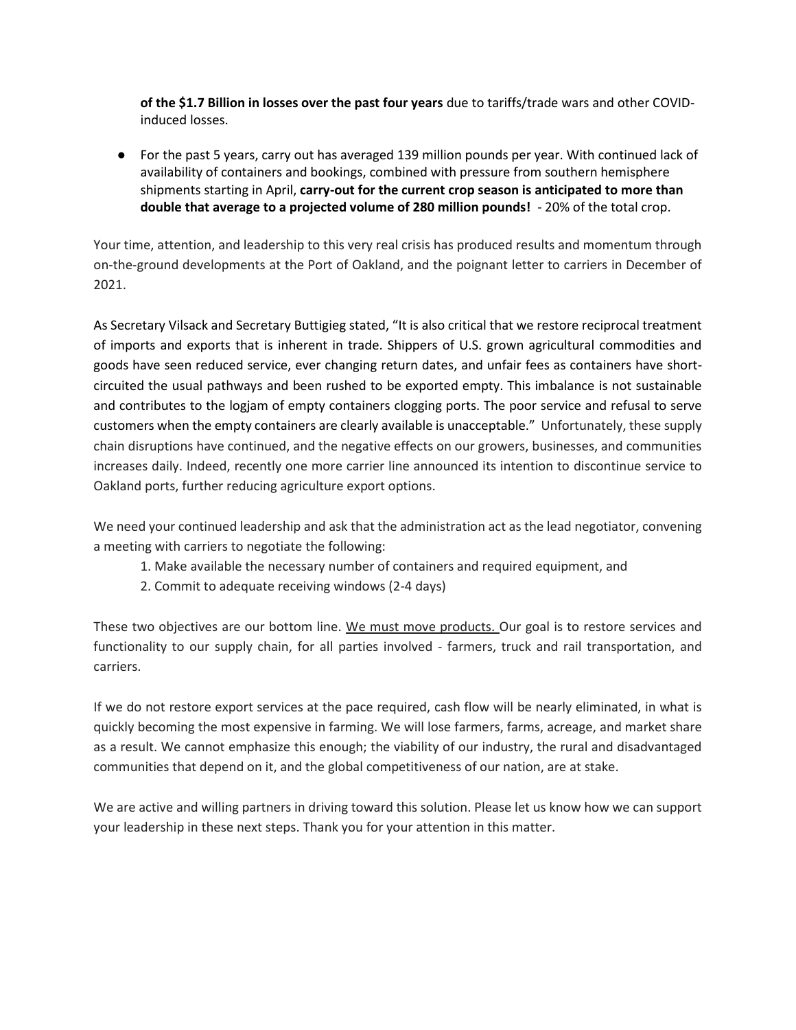**of the \$1.7 Billion in losses over the past four years** due to tariffs/trade wars and other COVIDinduced losses.

● For the past 5 years, carry out has averaged 139 million pounds per year. With continued lack of availability of containers and bookings, combined with pressure from southern hemisphere shipments starting in April, **carry-out for the current crop season is anticipated to more than double that average to a projected volume of 280 million pounds!** - 20% of the total crop.

Your time, attention, and leadership to this very real crisis has produced results and momentum through on-the-ground developments at the Port of Oakland, and the poignant letter to carriers in December of 2021.

As Secretary Vilsack and Secretary Buttigieg stated, "It is also critical that we restore reciprocal treatment of imports and exports that is inherent in trade. Shippers of U.S. grown agricultural commodities and goods have seen reduced service, ever changing return dates, and unfair fees as containers have shortcircuited the usual pathways and been rushed to be exported empty. This imbalance is not sustainable and contributes to the logjam of empty containers clogging ports. The poor service and refusal to serve customers when the empty containers are clearly available is unacceptable." Unfortunately, these supply chain disruptions have continued, and the negative effects on our growers, businesses, and communities increases daily. Indeed, recently one more carrier line announced its intention to discontinue service to Oakland ports, further reducing agriculture export options.

We need your continued leadership and ask that the administration act as the lead negotiator, convening a meeting with carriers to negotiate the following:

- 1. Make available the necessary number of containers and required equipment, and
- 2. Commit to adequate receiving windows (2-4 days)

These two objectives are our bottom line. We must move products. Our goal is to restore services and functionality to our supply chain, for all parties involved - farmers, truck and rail transportation, and carriers.

If we do not restore export services at the pace required, cash flow will be nearly eliminated, in what is quickly becoming the most expensive in farming. We will lose farmers, farms, acreage, and market share as a result. We cannot emphasize this enough; the viability of our industry, the rural and disadvantaged communities that depend on it, and the global competitiveness of our nation, are at stake.

We are active and willing partners in driving toward this solution. Please let us know how we can support your leadership in these next steps. Thank you for your attention in this matter.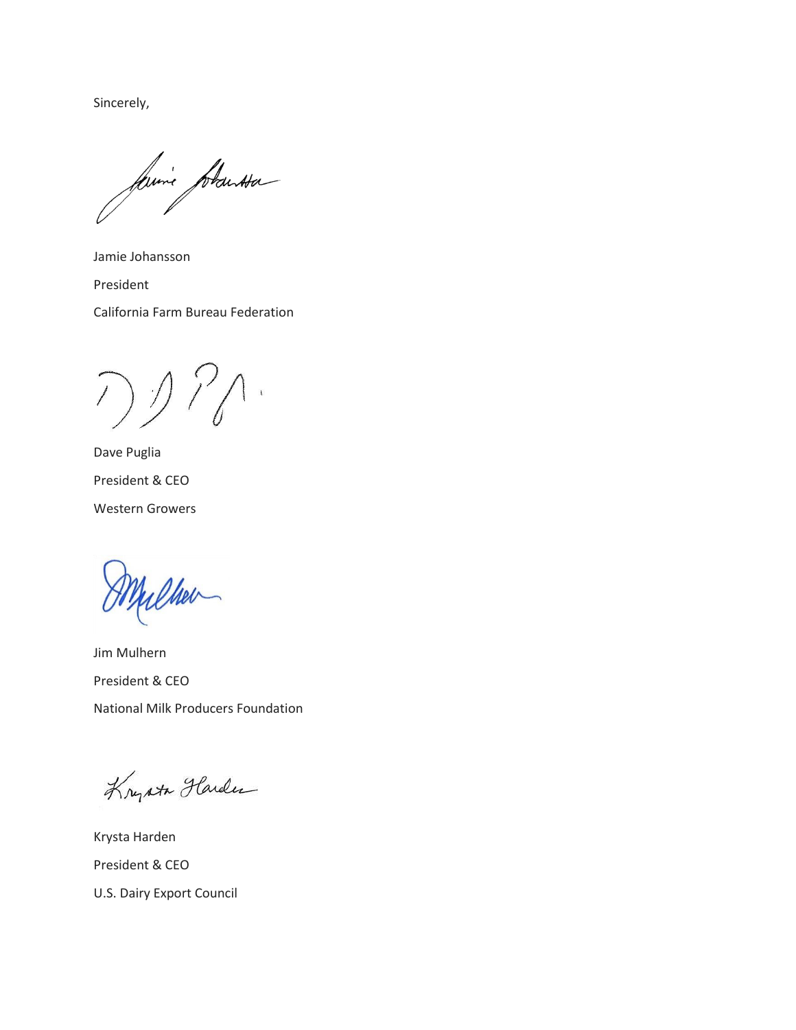Sincerely,

faire plantsa

Jamie Johansson President California Farm Bureau Federation

フッパー

Dave Puglia President & CEO Western Growers

Cher

Jim Mulhern President & CEO National Milk Producers Foundation

Krysta Harden

Krysta Harden President & CEO U.S. Dairy Export Council